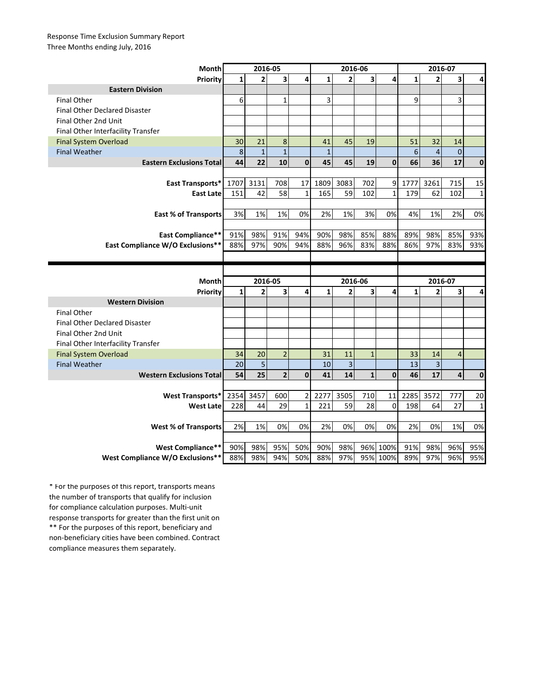## Response Time Exclusion Summary Report Three Months ending July, 2016

| Month                                | 2016-05      |                |                         |              | 2016-06      |                |                         |              | 2016-07      |                         |             |              |
|--------------------------------------|--------------|----------------|-------------------------|--------------|--------------|----------------|-------------------------|--------------|--------------|-------------------------|-------------|--------------|
| Priority                             | $\mathbf{1}$ | $\overline{2}$ | $\overline{\mathbf{3}}$ | 4            | $\mathbf{1}$ | $\overline{2}$ | $\overline{\mathbf{3}}$ | 4            | $\mathbf{1}$ | $\overline{2}$          | 3           | 4            |
| <b>Eastern Division</b>              |              |                |                         |              |              |                |                         |              |              |                         |             |              |
| <b>Final Other</b>                   | 6            |                | $\mathbf{1}$            |              | 3            |                |                         |              | 9            |                         | 3           |              |
| <b>Final Other Declared Disaster</b> |              |                |                         |              |              |                |                         |              |              |                         |             |              |
| Final Other 2nd Unit                 |              |                |                         |              |              |                |                         |              |              |                         |             |              |
| Final Other Interfacility Transfer   |              |                |                         |              |              |                |                         |              |              |                         |             |              |
| <b>Final System Overload</b>         | 30           | 21             | 8                       |              | 41           | 45             | 19                      |              | 51           | 32                      | 14          |              |
| <b>Final Weather</b>                 | $\,8\,$      | $\overline{1}$ | $\mathbf{1}$            |              | $\mathbf{1}$ |                |                         |              | 6            | $\overline{\mathbf{4}}$ | $\mathbf 0$ |              |
| <b>Eastern Exclusions Total</b>      | 44           | 22             | 10                      | $\mathbf{0}$ | 45           | 45             | 19                      | $\mathbf{0}$ | 66           | 36                      | 17          | $\mathbf 0$  |
|                                      |              |                |                         |              |              |                |                         |              |              |                         |             |              |
| East Transports*                     | 1707         | 3131           | 708                     | 17           | 1809         | 3083           | 702                     | 9            | 1777         | 3261                    | 715         | 15           |
| <b>East Late</b>                     | 151          | 42             | 58                      | $\mathbf{1}$ | 165          | 59             | 102                     | $\mathbf{1}$ | 179          | 62                      | 102         | 1            |
|                                      |              |                |                         |              |              |                |                         |              |              |                         |             |              |
| <b>East % of Transports</b>          | 3%           | 1%             | 1%                      | 0%           | 2%           | 1%             | 3%                      | 0%           | 4%           | 1%                      | 2%          | 0%           |
|                                      |              |                |                         |              |              |                |                         |              |              |                         |             |              |
| <b>East Compliance**</b>             | 91%          | 98%            | 91%                     | 94%          | 90%          | 98%            | 85%                     | 88%          | 89%          | 98%                     | 85%         | 93%          |
| East Compliance W/O Exclusions**     | 88%          | 97%            | 90%                     | 94%          | 88%          | 96%            | 83%                     | 88%          | 86%          | 97%                     | 83%         | 93%          |
|                                      |              |                |                         |              |              |                |                         |              |              |                         |             |              |
|                                      |              |                |                         |              |              |                |                         |              |              |                         |             |              |
|                                      |              |                |                         |              |              |                |                         |              |              |                         |             |              |
| Month                                |              | 2016-05        |                         |              |              | 2016-06        |                         |              |              | 2016-07                 |             |              |
| Priority                             | $\mathbf{1}$ | $\overline{2}$ | $\overline{\mathbf{3}}$ | 4            | $\mathbf{1}$ | $\overline{2}$ | 3                       | 4            | $\mathbf{1}$ | 2                       | 3           | 4            |
| <b>Western Division</b>              |              |                |                         |              |              |                |                         |              |              |                         |             |              |
| <b>Final Other</b>                   |              |                |                         |              |              |                |                         |              |              |                         |             |              |
| <b>Final Other Declared Disaster</b> |              |                |                         |              |              |                |                         |              |              |                         |             |              |
| Final Other 2nd Unit                 |              |                |                         |              |              |                |                         |              |              |                         |             |              |
| Final Other Interfacility Transfer   |              |                |                         |              |              |                |                         |              |              |                         |             |              |
| <b>Final System Overload</b>         | 34           | 20             | $\overline{2}$          |              | 31           | 11             | $\mathbf{1}$            |              | 33           | 14                      | 4           |              |
| <b>Final Weather</b>                 | 20           | 5              |                         |              | 10           | $\overline{3}$ |                         |              | 13           | $\overline{3}$          |             |              |
| <b>Western Exclusions Total</b>      | 54           | 25             | $\overline{2}$          | $\mathbf{0}$ | 41           | 14             | $\mathbf{1}$            | $\mathbf{0}$ | 46           | 17                      | 4           | $\mathbf 0$  |
|                                      |              |                |                         |              |              |                |                         |              |              |                         |             |              |
| <b>West Transports*</b>              | 2354         | 3457           | 600                     | 2            | 2277         | 3505           | 710                     | 11           | 2285         | 3572                    | 777         | 20           |
| <b>West Late</b>                     | 228          | 44             | 29                      | $\mathbf{1}$ | 221          | 59             | 28                      | $\Omega$     | 198          | 64                      | 27          | $\mathbf{1}$ |
|                                      |              |                |                         |              |              |                |                         |              |              |                         |             |              |
| <b>West % of Transports</b>          | 2%           | 1%             | 0%                      | 0%           | 2%           | 0%             | 0%                      | 0%           | 2%           | 0%                      | 1%          | 0%           |
|                                      |              |                |                         |              |              |                |                         |              |              |                         |             |              |
| <b>West Compliance**</b>             | 90%          | 98%            | 95%                     | 50%          | 90%          | 98%            |                         | 96% 100%     | 91%          | 98%                     | 96%         | 95%          |

\*\* For the purposes of this report, beneficiary and non-beneficiary cities have been combined. Contract compliance measures them separately. \* For the purposes of this report, transports means the number of transports that qualify for inclusion for compliance calculation purposes. Multi-unit response transports for greater than the first unit on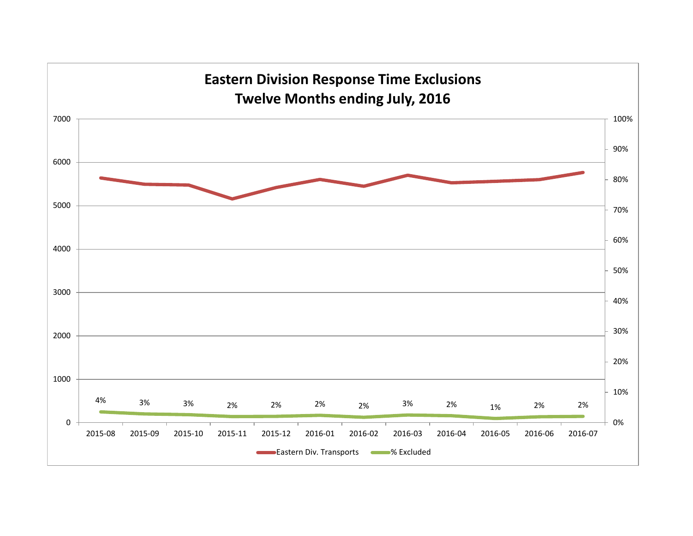